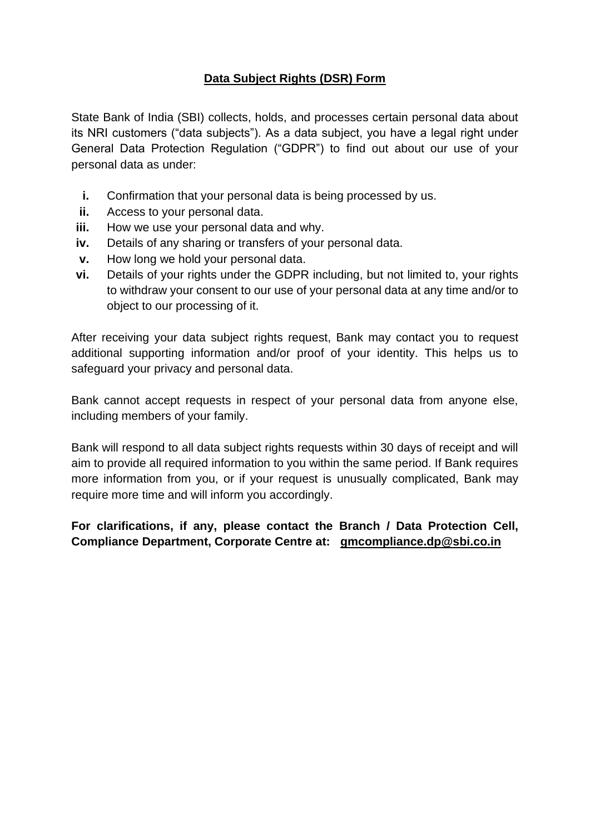## **Data Subject Rights (DSR) Form**

State Bank of India (SBI) collects, holds, and processes certain personal data about its NRI customers ("data subjects"). As a data subject, you have a legal right under General Data Protection Regulation ("GDPR") to find out about our use of your personal data as under:

- **i.** Confirmation that your personal data is being processed by us.
- **ii.** Access to your personal data.
- **iii.** How we use your personal data and why.
- **iv.** Details of any sharing or transfers of your personal data.
- **v.** How long we hold your personal data.
- **vi.** Details of your rights under the GDPR including, but not limited to, your rights to withdraw your consent to our use of your personal data at any time and/or to object to our processing of it.

After receiving your data subject rights request, Bank may contact you to request additional supporting information and/or proof of your identity. This helps us to safeguard your privacy and personal data.

Bank cannot accept requests in respect of your personal data from anyone else, including members of your family.

Bank will respond to all data subject rights requests within 30 days of receipt and will aim to provide all required information to you within the same period. If Bank requires more information from you, or if your request is unusually complicated, Bank may require more time and will inform you accordingly.

**For clarifications, if any, please contact the Branch / Data Protection Cell, Compliance Department, Corporate Centre at: [gmcompliance.dp@sbi.co.in](mailto:gmcompliance.dp@sbi.co.in)**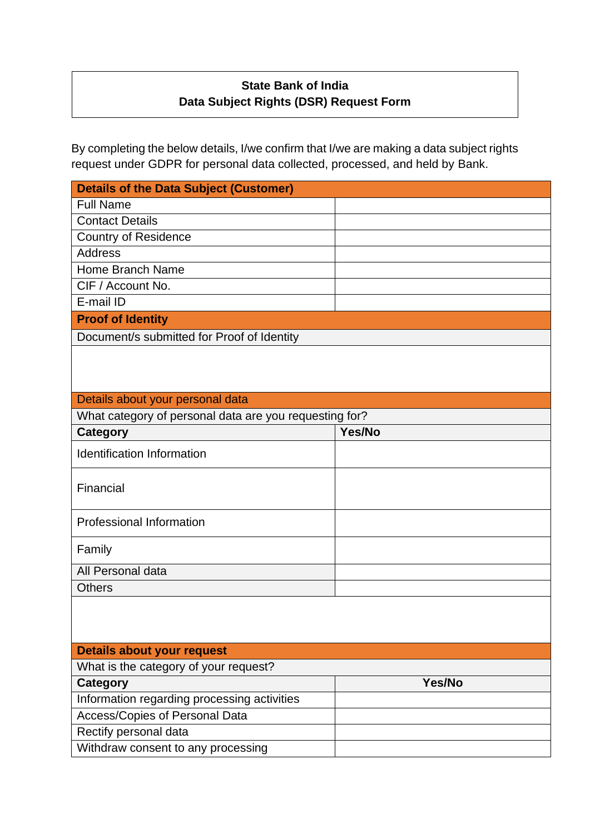## **State Bank of India Data Subject Rights (DSR) Request Form**

By completing the below details, I/we confirm that I/we are making a data subject rights request under GDPR for personal data collected, processed, and held by Bank.

| <b>Details of the Data Subject (Customer)</b>          |        |
|--------------------------------------------------------|--------|
| <b>Full Name</b>                                       |        |
| <b>Contact Details</b>                                 |        |
| <b>Country of Residence</b>                            |        |
| <b>Address</b>                                         |        |
| <b>Home Branch Name</b>                                |        |
| CIF / Account No.                                      |        |
| E-mail ID                                              |        |
| <b>Proof of Identity</b>                               |        |
| Document/s submitted for Proof of Identity             |        |
|                                                        |        |
| Details about your personal data                       |        |
| What category of personal data are you requesting for? |        |
| <b>Category</b>                                        | Yes/No |
| <b>Identification Information</b>                      |        |
| Financial                                              |        |
| <b>Professional Information</b>                        |        |
| Family                                                 |        |
| All Personal data                                      |        |
| <b>Others</b>                                          |        |
|                                                        |        |
| <b>Details about your request</b>                      |        |
| What is the category of your request?                  |        |
| <b>Category</b>                                        | Yes/No |
| Information regarding processing activities            |        |
| Access/Copies of Personal Data                         |        |
| Rectify personal data                                  |        |
| Withdraw consent to any processing                     |        |